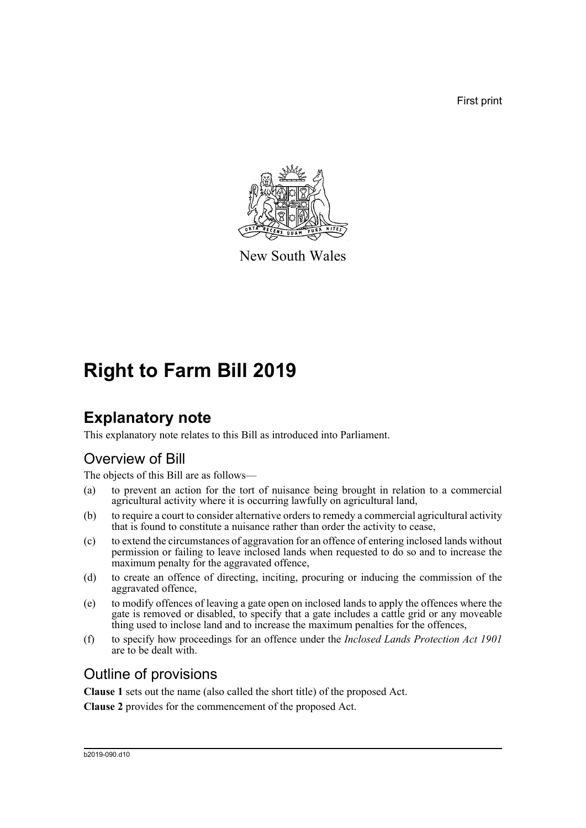First print



New South Wales

# **Right to Farm Bill 2019**

## **Explanatory note**

This explanatory note relates to this Bill as introduced into Parliament.

### Overview of Bill

The objects of this Bill are as follows—

- (a) to prevent an action for the tort of nuisance being brought in relation to a commercial agricultural activity where it is occurring lawfully on agricultural land,
- (b) to require a court to consider alternative orders to remedy a commercial agricultural activity that is found to constitute a nuisance rather than order the activity to cease,
- (c) to extend the circumstances of aggravation for an offence of entering inclosed lands without permission or failing to leave inclosed lands when requested to do so and to increase the maximum penalty for the aggravated offence,
- (d) to create an offence of directing, inciting, procuring or inducing the commission of the aggravated offence,
- (e) to modify offences of leaving a gate open on inclosed lands to apply the offences where the gate is removed or disabled, to specify that a gate includes a cattle grid or any moveable thing used to inclose land and to increase the maximum penalties for the offences,
- (f) to specify how proceedings for an offence under the *Inclosed Lands Protection Act 1901* are to be dealt with.

### Outline of provisions

**Clause 1** sets out the name (also called the short title) of the proposed Act.

**Clause 2** provides for the commencement of the proposed Act.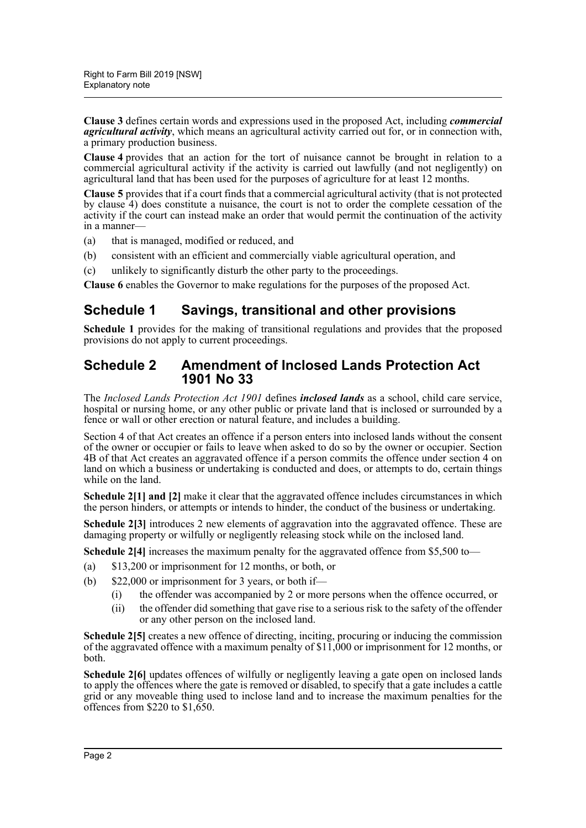**Clause 3** defines certain words and expressions used in the proposed Act, including *commercial agricultural activity*, which means an agricultural activity carried out for, or in connection with, a primary production business.

**Clause 4** provides that an action for the tort of nuisance cannot be brought in relation to a commercial agricultural activity if the activity is carried out lawfully (and not negligently) on agricultural land that has been used for the purposes of agriculture for at least 12 months.

**Clause 5** provides that if a court finds that a commercial agricultural activity (that is not protected by clause 4) does constitute a nuisance, the court is not to order the complete cessation of the activity if the court can instead make an order that would permit the continuation of the activity in a manner—

- (a) that is managed, modified or reduced, and
- (b) consistent with an efficient and commercially viable agricultural operation, and
- (c) unlikely to significantly disturb the other party to the proceedings.

**Clause 6** enables the Governor to make regulations for the purposes of the proposed Act.

### **Schedule 1 Savings, transitional and other provisions**

**Schedule 1** provides for the making of transitional regulations and provides that the proposed provisions do not apply to current proceedings.

#### **Schedule 2 Amendment of Inclosed Lands Protection Act 1901 No 33**

The *Inclosed Lands Protection Act 1901* defines *inclosed lands* as a school, child care service, hospital or nursing home, or any other public or private land that is inclosed or surrounded by a fence or wall or other erection or natural feature, and includes a building.

Section 4 of that Act creates an offence if a person enters into inclosed lands without the consent of the owner or occupier or fails to leave when asked to do so by the owner or occupier. Section 4B of that Act creates an aggravated offence if a person commits the offence under section 4 on land on which a business or undertaking is conducted and does, or attempts to do, certain things while on the land.

**Schedule 2[1] and [2]** make it clear that the aggravated offence includes circumstances in which the person hinders, or attempts or intends to hinder, the conduct of the business or undertaking.

**Schedule 2[3]** introduces 2 new elements of aggravation into the aggravated offence. These are damaging property or wilfully or negligently releasing stock while on the inclosed land.

**Schedule 2[4]** increases the maximum penalty for the aggravated offence from \$5,500 to—

- (a) \$13,200 or imprisonment for 12 months, or both, or
- (b)  $$22,000$  or imprisonment for 3 years, or both if—
	- (i) the offender was accompanied by 2 or more persons when the offence occurred, or
	- (ii) the offender did something that gave rise to a serious risk to the safety of the offender or any other person on the inclosed land.

**Schedule 2[5]** creates a new offence of directing, inciting, procuring or inducing the commission of the aggravated offence with a maximum penalty of \$11,000 or imprisonment for 12 months, or both.

Schedule 2[6] updates offences of wilfully or negligently leaving a gate open on inclosed lands to apply the offences where the gate is removed or disabled, to specify that a gate includes a cattle grid or any moveable thing used to inclose land and to increase the maximum penalties for the offences from \$220 to \$1,650.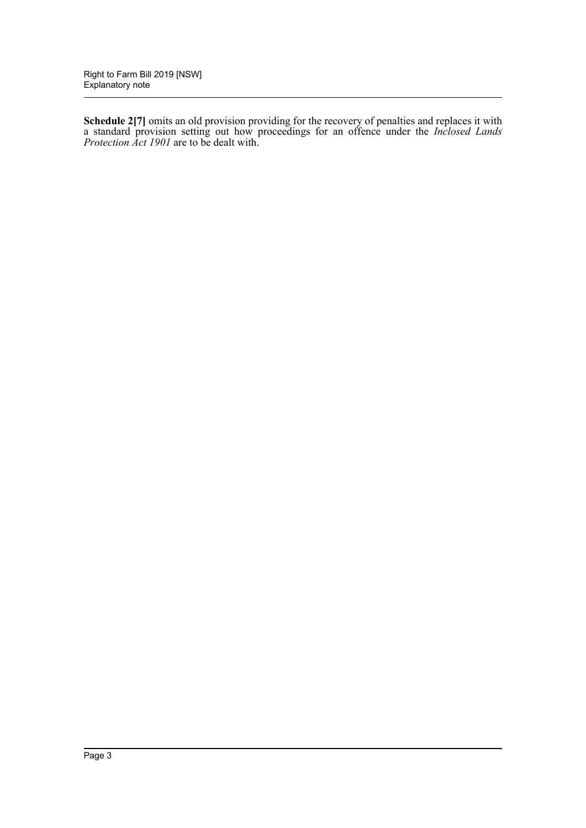**Schedule 2[7]** omits an old provision providing for the recovery of penalties and replaces it with a standard provision setting out how proceedings for an offence under the *Inclosed Lands Protection Act 1901* are to be dealt with.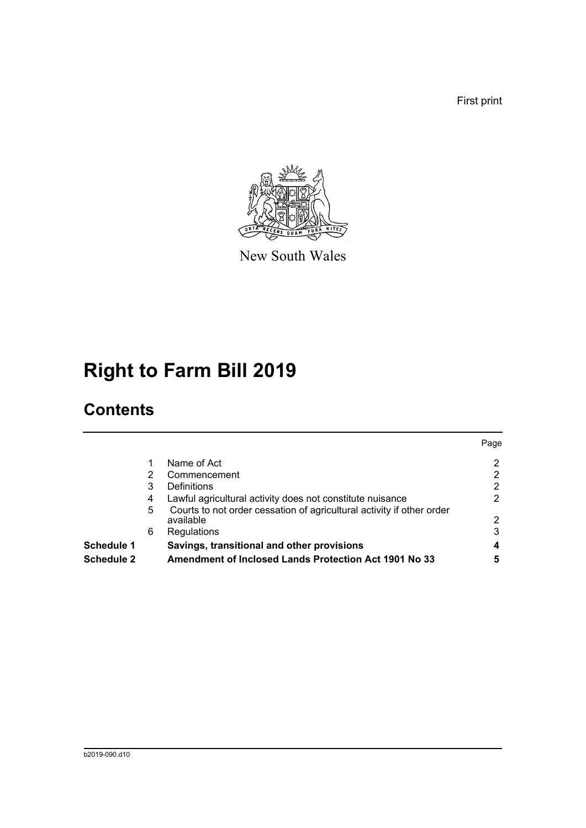First print



New South Wales

# **Right to Farm Bill 2019**

## **Contents**

| <b>Schedule 2</b> |   | <b>Amendment of Inclosed Lands Protection Act 1901 No 33</b>                       | 5    |
|-------------------|---|------------------------------------------------------------------------------------|------|
| <b>Schedule 1</b> |   | Savings, transitional and other provisions                                         |      |
|                   | 6 | Regulations                                                                        | 3    |
|                   | 5 | Courts to not order cessation of agricultural activity if other order<br>available | 2    |
|                   | 4 | Lawful agricultural activity does not constitute nuisance                          |      |
|                   | 3 | Definitions                                                                        | 2    |
|                   | 2 | Commencement                                                                       | 2    |
|                   |   | Name of Act                                                                        | 2    |
|                   |   |                                                                                    | Page |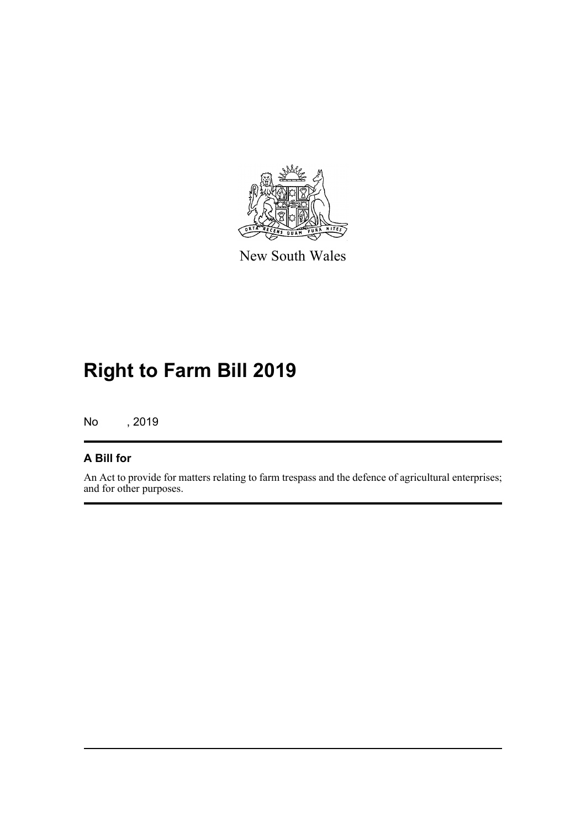

New South Wales

# **Right to Farm Bill 2019**

No , 2019

#### **A Bill for**

An Act to provide for matters relating to farm trespass and the defence of agricultural enterprises; and for other purposes.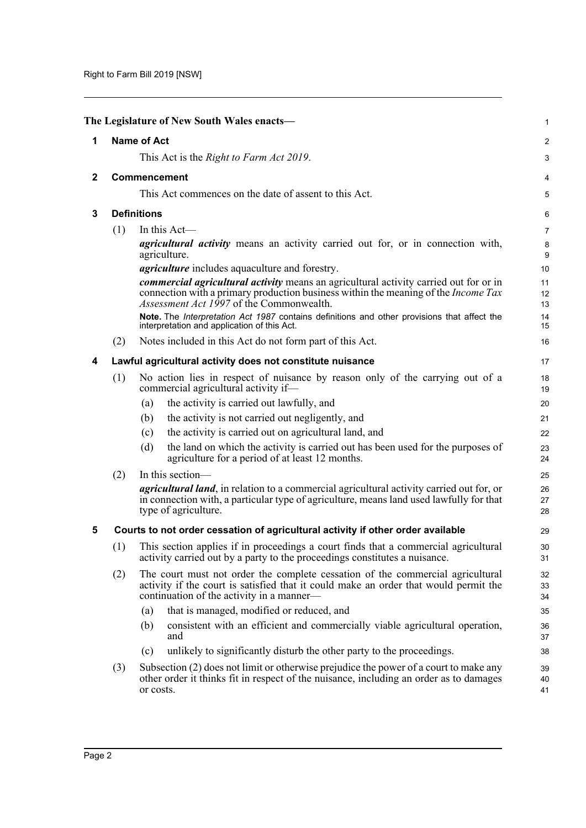<span id="page-5-4"></span><span id="page-5-3"></span><span id="page-5-2"></span><span id="page-5-1"></span><span id="page-5-0"></span>

|              |                                                                                                        | The Legislature of New South Wales enacts-                                                                                                                                                                                                   | 1              |  |
|--------------|--------------------------------------------------------------------------------------------------------|----------------------------------------------------------------------------------------------------------------------------------------------------------------------------------------------------------------------------------------------|----------------|--|
| 1            |                                                                                                        | <b>Name of Act</b>                                                                                                                                                                                                                           | 2              |  |
|              |                                                                                                        | This Act is the <i>Right to Farm Act 2019</i> .                                                                                                                                                                                              | 3              |  |
| $\mathbf{2}$ |                                                                                                        | <b>Commencement</b>                                                                                                                                                                                                                          |                |  |
|              |                                                                                                        | This Act commences on the date of assent to this Act.                                                                                                                                                                                        | 5              |  |
| 3            |                                                                                                        | <b>Definitions</b>                                                                                                                                                                                                                           | 6              |  |
|              | (1)                                                                                                    | In this Act-                                                                                                                                                                                                                                 | $\overline{7}$ |  |
|              | <i>agricultural activity</i> means an activity carried out for, or in connection with,<br>agriculture. |                                                                                                                                                                                                                                              |                |  |
|              |                                                                                                        | <i>agriculture</i> includes aquaculture and forestry.                                                                                                                                                                                        | 10             |  |
|              |                                                                                                        | <i>commercial agricultural activity</i> means an agricultural activity carried out for or in<br>connection with a primary production business within the meaning of the <i>Income Tax</i><br><i>Assessment Act 1997</i> of the Commonwealth. | 11<br>12<br>13 |  |
|              |                                                                                                        | Note. The Interpretation Act 1987 contains definitions and other provisions that affect the<br>interpretation and application of this Act.                                                                                                   | 14<br>15       |  |
|              | (2)                                                                                                    | Notes included in this Act do not form part of this Act.                                                                                                                                                                                     | 16             |  |
| 4            |                                                                                                        | Lawful agricultural activity does not constitute nuisance                                                                                                                                                                                    | 17             |  |
|              | (1)                                                                                                    | No action lies in respect of nuisance by reason only of the carrying out of a<br>commercial agricultural activity if-                                                                                                                        | 18<br>19       |  |
|              |                                                                                                        | the activity is carried out lawfully, and<br>(a)                                                                                                                                                                                             | 20             |  |
|              |                                                                                                        | the activity is not carried out negligently, and<br>(b)                                                                                                                                                                                      | 21             |  |
|              |                                                                                                        | the activity is carried out on agricultural land, and<br>(c)                                                                                                                                                                                 | 22             |  |
|              |                                                                                                        | the land on which the activity is carried out has been used for the purposes of<br>(d)<br>agriculture for a period of at least 12 months.                                                                                                    | 23<br>24       |  |
|              | (2)                                                                                                    | In this section-                                                                                                                                                                                                                             | 25             |  |
|              |                                                                                                        | <i>agricultural land</i> , in relation to a commercial agricultural activity carried out for, or<br>in connection with, a particular type of agriculture, means land used lawfully for that<br>type of agriculture.                          | 26<br>27<br>28 |  |
| 5            |                                                                                                        | Courts to not order cessation of agricultural activity if other order available                                                                                                                                                              | 29             |  |
|              | (1)                                                                                                    | This section applies if in proceedings a court finds that a commercial agricultural<br>activity carried out by a party to the proceedings constitutes a nuisance.                                                                            | 30<br>31       |  |
|              | (2)                                                                                                    | The court must not order the complete cessation of the commercial agricultural<br>activity if the court is satisfied that it could make an order that would permit the<br>continuation of the activity in a manner-                          | 32<br>33<br>34 |  |
|              |                                                                                                        | that is managed, modified or reduced, and<br>(a)                                                                                                                                                                                             | 35             |  |
|              |                                                                                                        | consistent with an efficient and commercially viable agricultural operation,<br>(b)<br>and                                                                                                                                                   | 36<br>37       |  |
|              |                                                                                                        | unlikely to significantly disturb the other party to the proceedings.<br>(c)                                                                                                                                                                 | 38             |  |
|              | (3)                                                                                                    | Subsection (2) does not limit or otherwise prejudice the power of a court to make any<br>other order it thinks fit in respect of the nuisance, including an order as to damages<br>or costs.                                                 | 39<br>40<br>41 |  |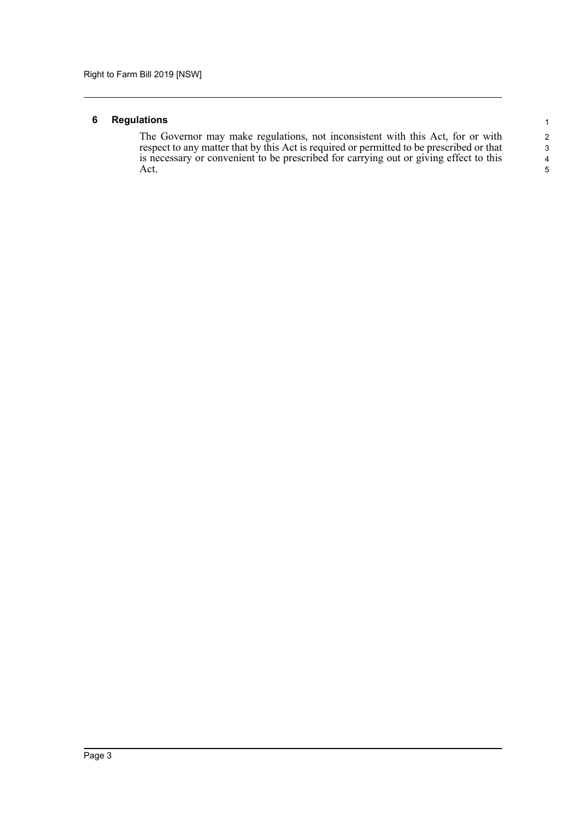#### <span id="page-6-0"></span>**6 Regulations**

The Governor may make regulations, not inconsistent with this Act, for or with respect to any matter that by this Act is required or permitted to be prescribed or that is necessary or convenient to be prescribed for carrying out or giving effect to this Act.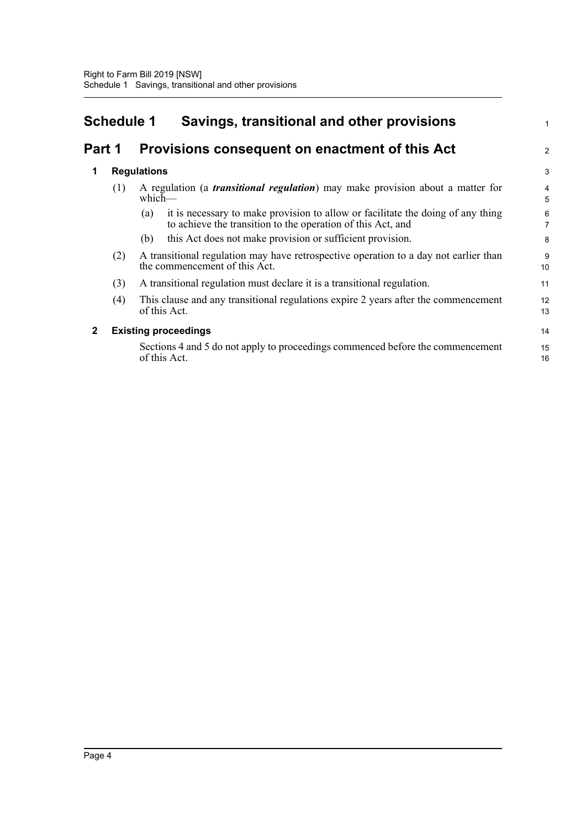<span id="page-7-0"></span>

| <b>Schedule 1</b> |  | Savings, transitional and other provisions            |  |
|-------------------|--|-------------------------------------------------------|--|
|                   |  | Part 1 Provisions consequent on enactment of this Act |  |

1

2

3

| 1 | <b>Regulations</b> |
|---|--------------------|
|   |                    |

| (1) |     | A regulation (a <i>transitional regulation</i> ) may make provision about a matter for<br>$which$ —                                                   |                     |  |
|-----|-----|-------------------------------------------------------------------------------------------------------------------------------------------------------|---------------------|--|
|     |     | it is necessary to make provision to allow or facilitate the doing of any thing<br>(a)<br>to achieve the transition to the operation of this Act, and | 6<br>$\overline{7}$ |  |
|     |     | this Act does not make provision or sufficient provision.<br>(b)                                                                                      | 8                   |  |
|     | (2) | A transitional regulation may have retrospective operation to a day not earlier than<br>the commencement of this Act.                                 |                     |  |
|     | (3) | A transitional regulation must declare it is a transitional regulation.                                                                               | 11                  |  |
|     | (4) | This clause and any transitional regulations expire 2 years after the commencement<br>of this Act.                                                    | 12<br>13            |  |
| 2   |     | <b>Existing proceedings</b>                                                                                                                           |                     |  |
|     |     | Sections 4 and 5 do not apply to proceedings commenced before the commencement<br>of this Act.                                                        | 15<br>16            |  |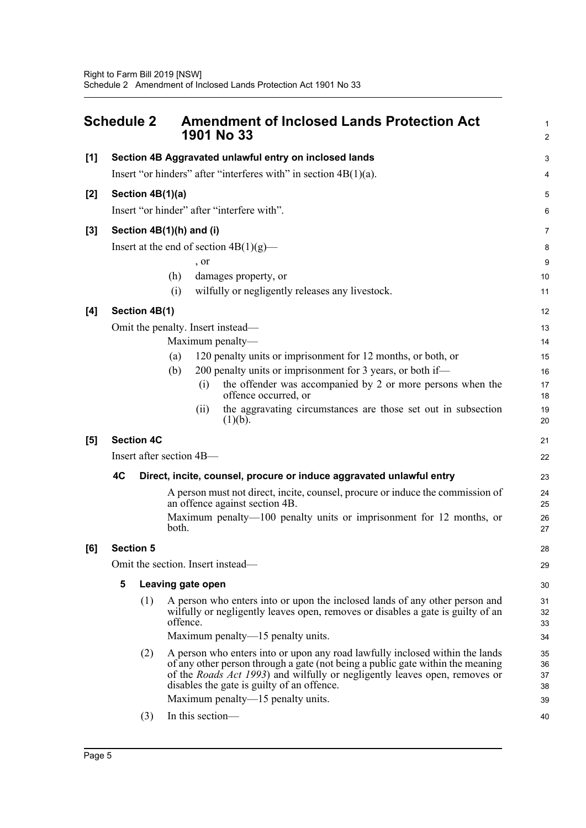<span id="page-8-0"></span>

|                                   | <b>Schedule 2</b> |                   | <b>Amendment of Inclosed Lands Protection Act</b><br>1901 No 33                                                                                                                                                                                                                            | 1<br>$\overline{a}$  |
|-----------------------------------|-------------------|-------------------|--------------------------------------------------------------------------------------------------------------------------------------------------------------------------------------------------------------------------------------------------------------------------------------------|----------------------|
| [1]                               |                   |                   | Section 4B Aggravated unlawful entry on inclosed lands                                                                                                                                                                                                                                     | 3                    |
|                                   |                   |                   | Insert "or hinders" after "interferes with" in section $4B(1)(a)$ .                                                                                                                                                                                                                        | 4                    |
| $[2]$                             |                   | Section 4B(1)(a)  |                                                                                                                                                                                                                                                                                            | 5                    |
|                                   |                   |                   | Insert "or hinder" after "interfere with".                                                                                                                                                                                                                                                 | 6                    |
| $[3]$                             |                   |                   | Section 4B(1)(h) and (i)                                                                                                                                                                                                                                                                   | 7                    |
|                                   |                   |                   | Insert at the end of section $4B(1)(g)$ —                                                                                                                                                                                                                                                  | 8                    |
|                                   |                   |                   | , or                                                                                                                                                                                                                                                                                       | 9                    |
|                                   |                   |                   | damages property, or<br>(h)                                                                                                                                                                                                                                                                | 10                   |
|                                   |                   |                   | wilfully or negligently releases any livestock.<br>(i)                                                                                                                                                                                                                                     | 11                   |
| [4]                               |                   | Section 4B(1)     |                                                                                                                                                                                                                                                                                            | 12                   |
|                                   |                   |                   | Omit the penalty. Insert instead—                                                                                                                                                                                                                                                          | 13                   |
|                                   |                   |                   | Maximum penalty-                                                                                                                                                                                                                                                                           | 14                   |
|                                   |                   |                   | 120 penalty units or imprisonment for 12 months, or both, or<br>(a)                                                                                                                                                                                                                        | 15                   |
|                                   |                   |                   | 200 penalty units or imprisonment for 3 years, or both if—<br>(b)                                                                                                                                                                                                                          | 16                   |
|                                   |                   |                   | the offender was accompanied by 2 or more persons when the<br>(i)<br>offence occurred, or                                                                                                                                                                                                  | 17<br>18             |
|                                   |                   |                   | the aggravating circumstances are those set out in subsection<br>(i)<br>(1)(b).                                                                                                                                                                                                            | 19<br>20             |
| [5]                               |                   | <b>Section 4C</b> |                                                                                                                                                                                                                                                                                            | 21                   |
|                                   |                   |                   | Insert after section 4B-                                                                                                                                                                                                                                                                   | 22                   |
|                                   | 4C                |                   | Direct, incite, counsel, procure or induce aggravated unlawful entry                                                                                                                                                                                                                       | 23                   |
|                                   |                   |                   | A person must not direct, incite, counsel, procure or induce the commission of<br>an offence against section 4B.                                                                                                                                                                           | 24<br>25             |
|                                   |                   |                   | Maximum penalty-100 penalty units or imprisonment for 12 months, or<br>both.                                                                                                                                                                                                               | 26<br>27             |
| [6]                               |                   | <b>Section 5</b>  |                                                                                                                                                                                                                                                                                            | 28                   |
| Omit the section. Insert instead— |                   |                   |                                                                                                                                                                                                                                                                                            | 29                   |
|                                   | 5                 |                   | Leaving gate open                                                                                                                                                                                                                                                                          | 30                   |
|                                   |                   | (1)               | A person who enters into or upon the inclosed lands of any other person and<br>wilfully or negligently leaves open, removes or disables a gate is guilty of an<br>offence.                                                                                                                 | 31<br>32<br>33       |
|                                   |                   |                   | Maximum penalty—15 penalty units.                                                                                                                                                                                                                                                          | 34                   |
|                                   |                   | (2)               | A person who enters into or upon any road lawfully inclosed within the lands<br>of any other person through a gate (not being a public gate within the meaning<br>of the Roads Act 1993) and wilfully or negligently leaves open, removes or<br>disables the gate is guilty of an offence. | 35<br>36<br>37<br>38 |
|                                   |                   |                   | Maximum penalty—15 penalty units.                                                                                                                                                                                                                                                          | 39                   |
|                                   |                   | (3)               | In this section-                                                                                                                                                                                                                                                                           | 40                   |